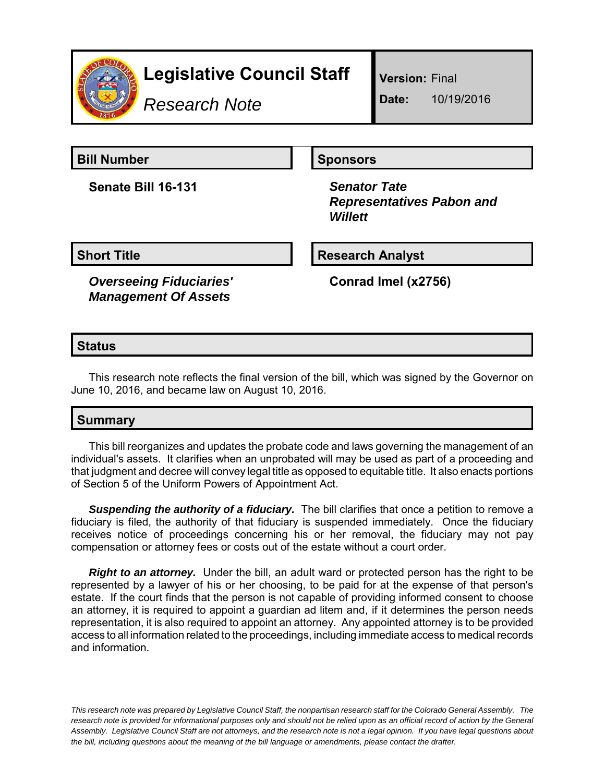

# **Legislative Council Staff**

*Research Note*

**Version:** Final

**Date:** 10/19/2016

**Bill Number Sponsors** 

**Senate Bill 16-131** *Senator Tate*

 *Representatives Pabon and Willett*

**Short Title Research Analyst** 

*Overseeing Fiduciaries' Management Of Assets*

**Conrad Imel (x2756)**

## **Status**

This research note reflects the final version of the bill, which was signed by the Governor on June 10, 2016, and became law on August 10, 2016.

# **Summary**

This bill reorganizes and updates the probate code and laws governing the management of an individual's assets. It clarifies when an unprobated will may be used as part of a proceeding and that judgment and decree will convey legal title as opposed to equitable title. It also enacts portions of Section 5 of the Uniform Powers of Appointment Act.

**Suspending the authority of a fiduciary.** The bill clarifies that once a petition to remove a fiduciary is filed, the authority of that fiduciary is suspended immediately. Once the fiduciary receives notice of proceedings concerning his or her removal, the fiduciary may not pay compensation or attorney fees or costs out of the estate without a court order.

*Right to an attorney.* Under the bill, an adult ward or protected person has the right to be represented by a lawyer of his or her choosing, to be paid for at the expense of that person's estate. If the court finds that the person is not capable of providing informed consent to choose an attorney, it is required to appoint a guardian ad litem and, if it determines the person needs representation, it is also required to appoint an attorney. Any appointed attorney is to be provided access to all information related to the proceedings, including immediate access to medical records and information.

*This research note was prepared by Legislative Council Staff, the nonpartisan research staff for the Colorado General Assembly. The research note is provided for informational purposes only and should not be relied upon as an official record of action by the General Assembly. Legislative Council Staff are not attorneys, and the research note is not a legal opinion. If you have legal questions about the bill, including questions about the meaning of the bill language or amendments, please contact the drafter.*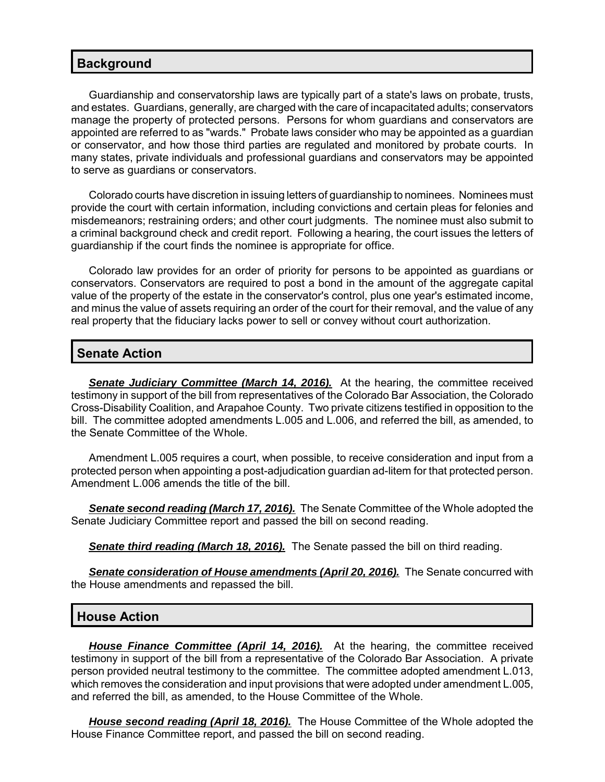#### **Background**

Guardianship and conservatorship laws are typically part of a state's laws on probate, trusts, and estates. Guardians, generally, are charged with the care of incapacitated adults; conservators manage the property of protected persons. Persons for whom guardians and conservators are appointed are referred to as "wards." Probate laws consider who may be appointed as a guardian or conservator, and how those third parties are regulated and monitored by probate courts. In many states, private individuals and professional guardians and conservators may be appointed to serve as guardians or conservators.

Colorado courts have discretion in issuing letters of guardianship to nominees. Nominees must provide the court with certain information, including convictions and certain pleas for felonies and misdemeanors; restraining orders; and other court judgments. The nominee must also submit to a criminal background check and credit report. Following a hearing, the court issues the letters of guardianship if the court finds the nominee is appropriate for office.

Colorado law provides for an order of priority for persons to be appointed as guardians or conservators. Conservators are required to post a bond in the amount of the aggregate capital value of the property of the estate in the conservator's control, plus one year's estimated income, and minus the value of assets requiring an order of the court for their removal, and the value of any real property that the fiduciary lacks power to sell or convey without court authorization.

### **Senate Action**

**Senate Judiciary Committee (March 14, 2016).** At the hearing, the committee received testimony in support of the bill from representatives of the Colorado Bar Association, the Colorado Cross-Disability Coalition, and Arapahoe County. Two private citizens testified in opposition to the bill. The committee adopted amendments L.005 and L.006, and referred the bill, as amended, to the Senate Committee of the Whole.

Amendment L.005 requires a court, when possible, to receive consideration and input from a protected person when appointing a post-adjudication guardian ad-litem for that protected person. Amendment L.006 amends the title of the bill.

*Senate second reading (March 17, 2016).* The Senate Committee of the Whole adopted the Senate Judiciary Committee report and passed the bill on second reading.

*Senate third reading (March 18, 2016).* The Senate passed the bill on third reading.

*Senate consideration of House amendments (April 20, 2016).* The Senate concurred with the House amendments and repassed the bill.

#### **House Action**

*House Finance Committee (April 14, 2016).* At the hearing, the committee received testimony in support of the bill from a representative of the Colorado Bar Association. A private person provided neutral testimony to the committee. The committee adopted amendment L.013, which removes the consideration and input provisions that were adopted under amendment L.005, and referred the bill, as amended, to the House Committee of the Whole.

*House second reading (April 18, 2016).* The House Committee of the Whole adopted the House Finance Committee report, and passed the bill on second reading.